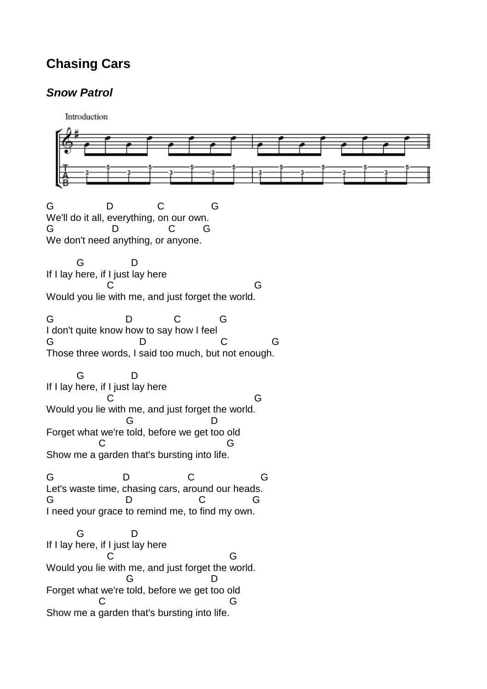## **Chasing Cars**

## **Snow Patrol**

Introduction G D C G We'll do it all, everything, on our own. G D C G We don't need anything, or anyone. G D If I lay here, if I just lay here C G Would you lie with me, and just forget the world. G D C G I don't quite know how to say how I feel G D C G Those three words, I said too much, but not enough. G D If I lay here, if I just lay here C G Would you lie with me, and just forget the world. G D Forget what we're told, before we get too old C G Show me a garden that's bursting into life. G D C G Let's waste time, chasing cars, around our heads. G D C G I need your grace to remind me, to find my own. G D If I lay here, if I just lay here C G Would you lie with me, and just forget the world. G D Forget what we're told, before we get too old C G Show me a garden that's bursting into life.